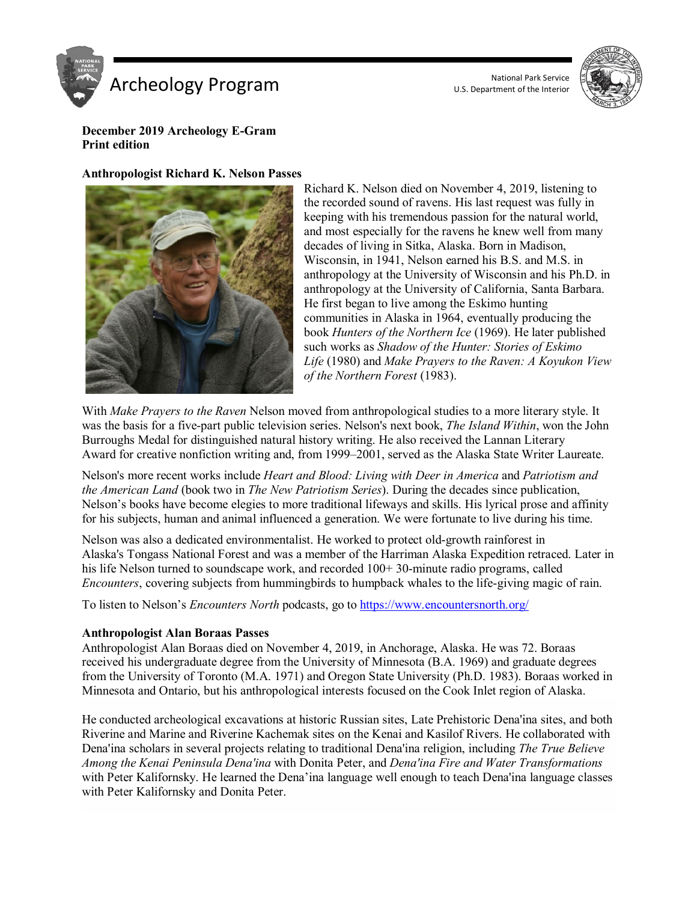



#### **December 2019 Archeology E-Gram Print edition**

#### **Anthropologist Richard K. Nelson Passes**



Richard K. Nelson died on November 4, 2019, listening to the recorded sound of ravens. His last request was fully in keeping with his tremendous passion for the natural world, and most especially for the ravens he knew well from many decades of living in Sitka, Alaska. Born in Madison, Wisconsin, in 1941, Nelson earned his B.S. and M.S. in anthropology at the University of Wisconsin and his Ph.D. in anthropology at the University of California, Santa Barbara. He first began to live among the Eskimo hunting communities in Alaska in 1964, eventually producing the book *Hunters of the Northern Ice* (1969). He later published such works as *Shadow of the Hunter: Stories of Eskimo Life* (1980) and *Make Prayers to the Raven: A Koyukon View of the Northern Forest* (1983).

With *Make Prayers to the Raven* Nelson moved from anthropological studies to a more literary style. It was the basis for a five-part public television series. Nelson's next book, *The Island Within*, won the John Burroughs Medal for distinguished natural history writing. He also received the Lannan Literary Award for creative nonfiction writing and, from 1999–2001, served as the Alaska State Writer Laureate.

Nelson's more recent works include *Heart and Blood: Living with Deer in America* and *Patriotism and the American Land* (book two in *The New Patriotism Series*). During the decades since publication, Nelson's books have become elegies to more traditional lifeways and skills. His lyrical prose and affinity for his subjects, human and animal influenced a generation. We were fortunate to live during his time.

Nelson was also a dedicated environmentalist. He worked to protect old-growth rainforest in Alaska's Tongass National Forest and was a member of the Harriman Alaska Expedition retraced. Later in his life Nelson turned to soundscape work, and recorded  $100+30$ -minute radio programs, called *Encounters*, covering subjects from hummingbirds to humpback whales to the life-giving magic of rain.

To listen to Nelson's *Encounters North* podcasts, go to<https://www.encountersnorth.org/>

## **Anthropologist Alan Boraas Passes**

Anthropologist Alan Boraas died on November 4, 2019, in Anchorage, Alaska. He was 72. Boraas received his undergraduate degree from the University of Minnesota (B.A. 1969) and graduate degrees from the University of Toronto (M.A. 1971) and Oregon State University (Ph.D. 1983). Boraas worked in Minnesota and Ontario, but his anthropological interests focused on the Cook Inlet region of Alaska.

He conducted archeological excavations at historic Russian sites, Late Prehistoric Dena'ina sites, and both Riverine and Marine and Riverine Kachemak sites on the Kenai and Kasilof Rivers. He collaborated with Dena'ina scholars in several projects relating to traditional Dena'ina religion, including *The True Believe Among the Kenai Peninsula Dena'ina* with Donita Peter, and *Dena'ina Fire and Water Transformations* with Peter Kalifornsky. He learned the Dena'ina language well enough to teach Dena'ina language classes with Peter Kalifornsky and Donita Peter.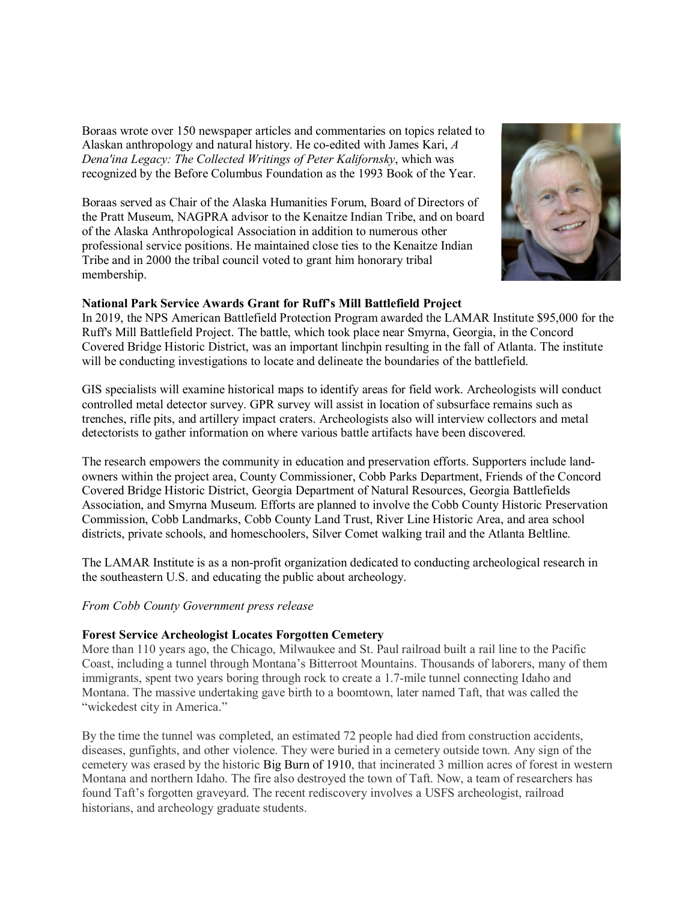Boraas wrote over 150 newspaper articles and commentaries on topics related to Alaskan anthropology and natural history. He co-edited with James Kari, *A Dena'ina Legacy: The Collected Writings of Peter Kalifornsky*, which was recognized by the Before Columbus Foundation as the 1993 Book of the Year.

Boraas served as Chair of the Alaska Humanities Forum, Board of Directors of the Pratt Museum, NAGPRA advisor to the Kenaitze Indian Tribe, and on board of the Alaska Anthropological Association in addition to numerous other professional service positions. He maintained close ties to the Kenaitze Indian Tribe and in 2000 the tribal council voted to grant him honorary tribal membership.



## **National Park Service Awards Grant for Ruff's Mill Battlefield Project**

In 2019, the NPS American Battlefield Protection Program awarded the LAMAR Institute \$95,000 for the Ruff's Mill Battlefield Project. The battle, which took place near Smyrna, Georgia, in the Concord Covered Bridge Historic District, was an important linchpin resulting in the fall of Atlanta. The institute will be conducting investigations to locate and delineate the boundaries of the battlefield.

GIS specialists will examine historical maps to identify areas for field work. Archeologists will conduct controlled metal detector survey. GPR survey will assist in location of subsurface remains such as trenches, rifle pits, and artillery impact craters. Archeologists also will interview collectors and metal detectorists to gather information on where various battle artifacts have been discovered.

The research empowers the community in education and preservation efforts. Supporters include landowners within the project area, County Commissioner, Cobb Parks Department, Friends of the Concord Covered Bridge Historic District, Georgia Department of Natural Resources, Georgia Battlefields Association, and Smyrna Museum. Efforts are planned to involve the Cobb County Historic Preservation Commission, Cobb Landmarks, Cobb County Land Trust, River Line Historic Area, and area school districts, private schools, and homeschoolers, Silver Comet walking trail and the Atlanta Beltline.

The LAMAR Institute is as a non-profit organization dedicated to conducting archeological research in the southeastern U.S. and educating the public about archeology.

*From Cobb County Government press release*

#### **Forest Service Archeologist Locates Forgotten Cemetery**

More than 110 years ago, the Chicago, Milwaukee and St. Paul railroad built a rail line to the Pacific Coast, including a tunnel through Montana's Bitterroot Mountains. Thousands of laborers, many of them immigrants, spent two years boring through rock to create a 1.7-mile tunnel connecting Idaho and Montana. The massive undertaking gave birth to a boomtown, later named Taft, that was called the "wickedest city in America."

By the time the tunnel was completed, an estimated 72 people had died from construction accidents, diseases, gunfights, and other violence. They were buried in a cemetery outside town. Any sign of the cemetery was erased by the historic Big Burn of 1910, that incinerated 3 million acres of forest in western Montana and northern Idaho. The fire also destroyed the town of Taft. Now, a team of researchers has found Taft's forgotten graveyard. The recent rediscovery involves a USFS archeologist, railroad historians, and archeology graduate students.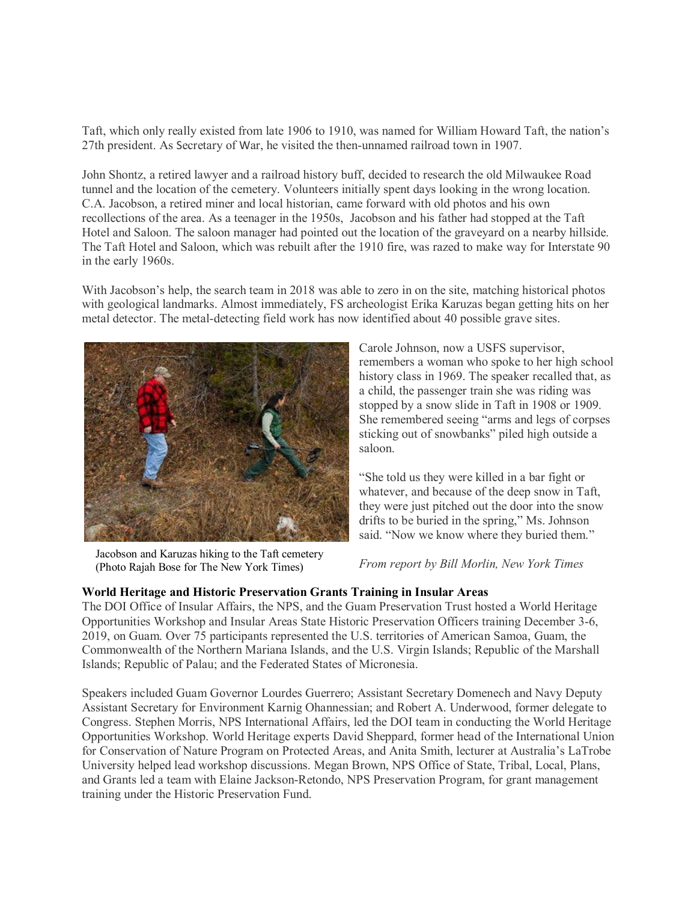Taft, which only really existed from late 1906 to 1910, was named for William Howard Taft, the nation's 27th president. As Secretary of War, he visited the then-unnamed railroad town in 1907.

John Shontz, a retired lawyer and a railroad history buff, decided to research the old Milwaukee Road tunnel and the location of the cemetery. Volunteers initially spent days looking in the wrong location. C.A. Jacobson, a retired miner and local historian, came forward with old photos and his own recollections of the area. As a teenager in the 1950s, Jacobson and his father had stopped at the Taft Hotel and Saloon. The saloon manager had pointed out the location of the graveyard on a nearby hillside. The Taft Hotel and Saloon, which was rebuilt after the 1910 fire, was razed to make way for Interstate 90 in the early 1960s.

With Jacobson's help, the search team in 2018 was able to zero in on the site, matching historical photos with geological landmarks. Almost immediately, FS archeologist Erika Karuzas began getting hits on her metal detector. The metal-detecting field work has now identified about 40 possible grave sites.



Jacobson and Karuzas hiking to the Taft cemetery (Photo Rajah Bose for The New York Times)

Carole Johnson, now a USFS supervisor, remembers a woman who spoke to her high school history class in 1969. The speaker recalled that, as a child, the passenger train she was riding was stopped by a snow slide in Taft in 1908 or 1909. She remembered seeing "arms and legs of corpses sticking out of snowbanks" piled high outside a saloon.

"She told us they were killed in a bar fight or whatever, and because of the deep snow in Taft, they were just pitched out the door into the snow drifts to be buried in the spring," Ms. Johnson said. "Now we know where they buried them."

*From report by Bill Morlin, New York Times*

## **World Heritage and Historic [Preservation](http://www.mvariety.com/cnmi/cnmi-news/local/117449-insular-areas-explore-world-heritage-opportunities-and-participate-in-historic-preservation-grants-training) Grants Training in Insular Areas**

The DOI Office of Insular Affairs, the NPS, and the Guam Preservation Trust hosted a World Heritage Opportunities Workshop and Insular Areas State Historic Preservation Officers training December 3-6, 2019, on Guam. Over 75 participants represented the U.S. territories of American Samoa, Guam, the Commonwealth of the Northern Mariana Islands, and the U.S. Virgin Islands; Republic of the Marshall Islands; Republic of Palau; and the Federated States of Micronesia.

Speakers included Guam Governor Lourdes Guerrero; Assistant Secretary Domenech and Navy Deputy Assistant Secretary for Environment Karnig Ohannessian; and Robert A. Underwood, former delegate to Congress. Stephen Morris, NPS International Affairs, led the DOI team in conducting the World Heritage Opportunities Workshop. World Heritage experts David Sheppard, former head of the International Union for Conservation of Nature Program on Protected Areas, and Anita Smith, lecturer at Australia's LaTrobe University helped lead workshop discussions. Megan Brown, NPS Office of State, Tribal, Local, Plans, and Grants led a team with Elaine Jackson-Retondo, NPS Preservation Program, for grant management training under the Historic Preservation Fund.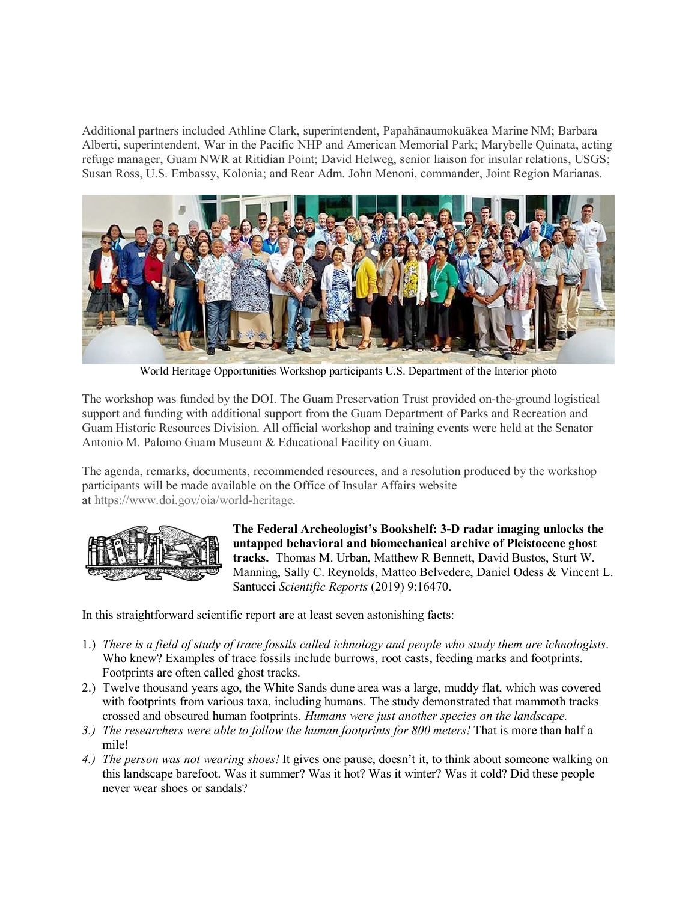Additional partners included Athline Clark, superintendent, Papahānaumokuākea Marine NM; Barbara Alberti, superintendent, War in the Pacific NHP and American Memorial Park; Marybelle Quinata, acting refuge manager, Guam NWR at Ritidian Point; David Helweg, senior liaison for insular relations, USGS; Susan Ross, U.S. Embassy, Kolonia; and Rear Adm. John Menoni, commander, Joint Region Marianas.



World Heritage Opportunities Workshop participants U.S. Department of the Interior photo

The workshop was funded by the DOI. The Guam Preservation Trust provided on-the-ground logistical support and funding with additional support from the Guam Department of Parks and Recreation and Guam Historic Resources Division. All official workshop and training events were held at the Senator Antonio M. Palomo Guam Museum & Educational Facility on Guam.

The agenda, remarks, documents, recommended resources, and a resolution produced by the workshop participants will be made available on the Office of Insular Affairs website at [https://www.doi.gov/oia/world-heritage.](https://www.doi.gov/oia/world-heritage)



**The Federal Archeologist's Bookshelf: 3-D radar imaging unlocks the untapped behavioral and biomechanical archive of Pleistocene ghost tracks.** Thomas M. Urban, Matthew R Bennett, David Bustos, Sturt W. Manning, Sally C. Reynolds, Matteo Belvedere, Daniel Odess & Vincent L. Santucci *Scientific Reports* (2019) 9:16470.

In this straightforward scientific report are at least seven astonishing facts:

- 1.) *There is a field of study of trace fossils called ichnology and people who study them are ichnologists*. Who knew? Examples of trace fossils include burrows, root casts, feeding marks and footprints. Footprints are often called ghost tracks.
- 2.) Twelve thousand years ago, the White Sands dune area was a large, muddy flat, which was covered with footprints from various taxa, including humans. The study demonstrated that mammoth tracks crossed and obscured human footprints. *Humans were just another species on the landscape.*
- *3.) The researchers were able to follow the human footprints for 800 meters!* That is more than half a mile!
- *4.) The person was not wearing shoes!* It gives one pause, doesn't it, to think about someone walking on this landscape barefoot. Was it summer? Was it hot? Was it winter? Was it cold? Did these people never wear shoes or sandals?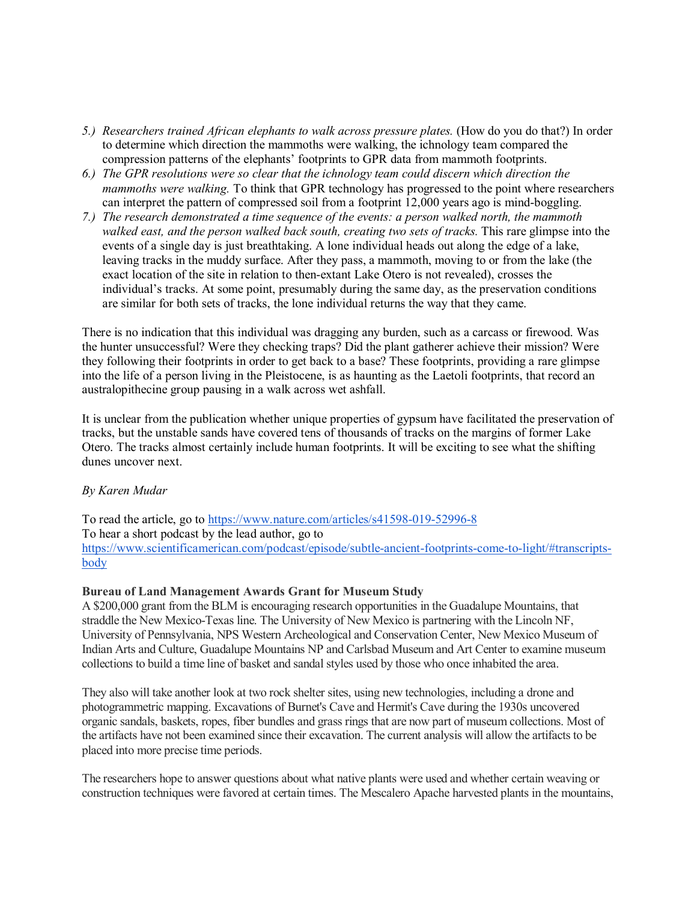- *5.) Researchers trained African elephants to walk across pressure plates.* (How do you do that?) In order to determine which direction the mammoths were walking, the ichnology team compared the compression patterns of the elephants' footprints to GPR data from mammoth footprints.
- *6.) The GPR resolutions were so clear that the ichnology team could discern which direction the mammoths were walking.* To think that GPR technology has progressed to the point where researchers can interpret the pattern of compressed soil from a footprint 12,000 years ago is mind-boggling.
- *7.) The research demonstrated a time sequence of the events: a person walked north, the mammoth walked east, and the person walked back south, creating two sets of tracks.* This rare glimpse into the events of a single day is just breathtaking. A lone individual heads out along the edge of a lake, leaving tracks in the muddy surface. After they pass, a mammoth, moving to or from the lake (the exact location of the site in relation to then-extant Lake Otero is not revealed), crosses the individual's tracks. At some point, presumably during the same day, as the preservation conditions are similar for both sets of tracks, the lone individual returns the way that they came.

There is no indication that this individual was dragging any burden, such as a carcass or firewood. Was the hunter unsuccessful? Were they checking traps? Did the plant gatherer achieve their mission? Were they following their footprints in order to get back to a base? These footprints, providing a rare glimpse into the life of a person living in the Pleistocene, is as haunting as the Laetoli footprints, that record an australopithecine group pausing in a walk across wet ashfall.

It is unclear from the publication whether unique properties of gypsum have facilitated the preservation of tracks, but the unstable sands have covered tens of thousands of tracks on the margins of former Lake Otero. The tracks almost certainly include human footprints. It will be exciting to see what the shifting dunes uncover next.

## *By Karen Mudar*

To read the article, go to<https://www.nature.com/articles/s41598-019-52996-8> To hear a short podcast by the lead author, go to [https://www.scientificamerican.com/podcast/episode/subtle-ancient-footprints-come-to-light/#transcripts](https://www.scientificamerican.com/podcast/episode/subtle-ancient-footprints-come-to-light/#transcripts-body)[body](https://www.scientificamerican.com/podcast/episode/subtle-ancient-footprints-come-to-light/#transcripts-body)

## **Bureau of Land Management Awards Grant for Museum Study**

A \$200,000 grant from the BLM is encouraging research opportunities in the Guadalupe Mountains, that straddle the New Mexico-Texas line. The University of New Mexico is partnering with the Lincoln NF, University of Pennsylvania, NPS Western Archeological and Conservation Center, New Mexico Museum of Indian Arts and Culture, Guadalupe Mountains NP and Carlsbad Museum and Art Center to examine museum collections to build a time line of basket and sandal styles used by those who once inhabited the area.

They also will take another look at two rock shelter sites, using new technologies, including a drone and photogrammetric mapping. Excavations of Burnet's Cave and Hermit's Cave during the 1930s uncovered organic sandals, baskets, ropes, fiber bundles and grass rings that are now part of museum collections. Most of the artifacts have not been examined since their excavation. The current analysis will allow the artifacts to be placed into more precise time periods.

The researchers hope to answer questions about what native plants were used and whether certain weaving or construction techniques were favored at certain times. The Mescalero Apache harvested plants in the mountains,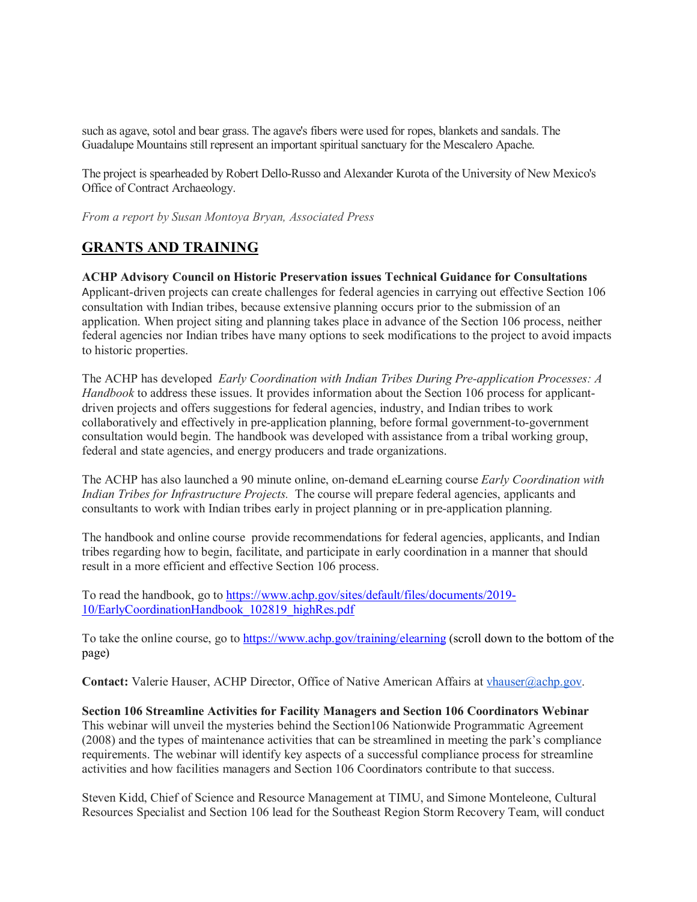such as agave, sotol and bear grass. The agave's fibers were used for ropes, blankets and sandals. The Guadalupe Mountains still represent an important spiritual sanctuary for the Mescalero Apache.

The project is spearheaded by Robert Dello-Russo and Alexander Kurota of the University of New Mexico's Office of Contract Archaeology.

*From a report by Susan Montoya Bryan, Associated Press*

# **GRANTS AND TRAINING**

#### **ACHP Advisory Council on Historic Preservation issues Technical Guidance for Consultations**

Applicant-driven projects can create challenges for federal agencies in carrying out effective Section 106 consultation with Indian tribes, because extensive planning occurs prior to the submission of an application. When project siting and planning takes place in advance of the Section 106 process, neither federal agencies nor Indian tribes have many options to seek modifications to the project to avoid impacts to historic properties.

The ACHP has developed *Early Coordination with Indian Tribes During Pre-application Processes: A Handbook* to address these issues. It provides information about the Section 106 process for applicantdriven projects and offers suggestions for federal agencies, industry, and Indian tribes to work collaboratively and effectively in pre-application planning, before formal government-to-government consultation would begin. The handbook was developed with assistance from a tribal working group, federal and state agencies, and energy producers and trade organizations.

The ACHP has also launched a 90 minute online, on-demand eLearning course *Early Coordination with Indian Tribes for Infrastructure Projects.* The course will prepare federal agencies, applicants and consultants to work with Indian tribes early in project planning or in pre-application planning.

The handbook and online course provide recommendations for federal agencies, applicants, and Indian tribes regarding how to begin, facilitate, and participate in early coordination in a manner that should result in a more efficient and effective Section 106 process.

To read the handbook, go to [https://www.achp.gov/sites/default/files/documents/2019-](https://www.achp.gov/sites/default/files/documents/2019-10/EarlyCoordinationHandbook_102819_highRes.pdf) [10/EarlyCoordinationHandbook\\_102819\\_highRes.pdf](https://www.achp.gov/sites/default/files/documents/2019-10/EarlyCoordinationHandbook_102819_highRes.pdf)

To take the online course, go to<https://www.achp.gov/training/elearning> (scroll down to the bottom of the page)

Contact: Valerie Hauser, ACHP Director, Office of Native American Affairs at [vhauser@achp.gov.](mailto:vhauser@achp.gov)

**Section 106 Streamline Activities for Facility Managers and Section 106 Coordinators Webinar** This webinar will unveil the mysteries behind the Section106 Nationwide Programmatic Agreement (2008) and the types of maintenance activities that can be streamlined in meeting the park's compliance requirements. The webinar will identify key aspects of a successful compliance process for streamline activities and how facilities managers and Section 106 Coordinators contribute to that success.

Steven Kidd, Chief of Science and Resource Management at TIMU, and Simone Monteleone, Cultural Resources Specialist and Section 106 lead for the Southeast Region Storm Recovery Team, will conduct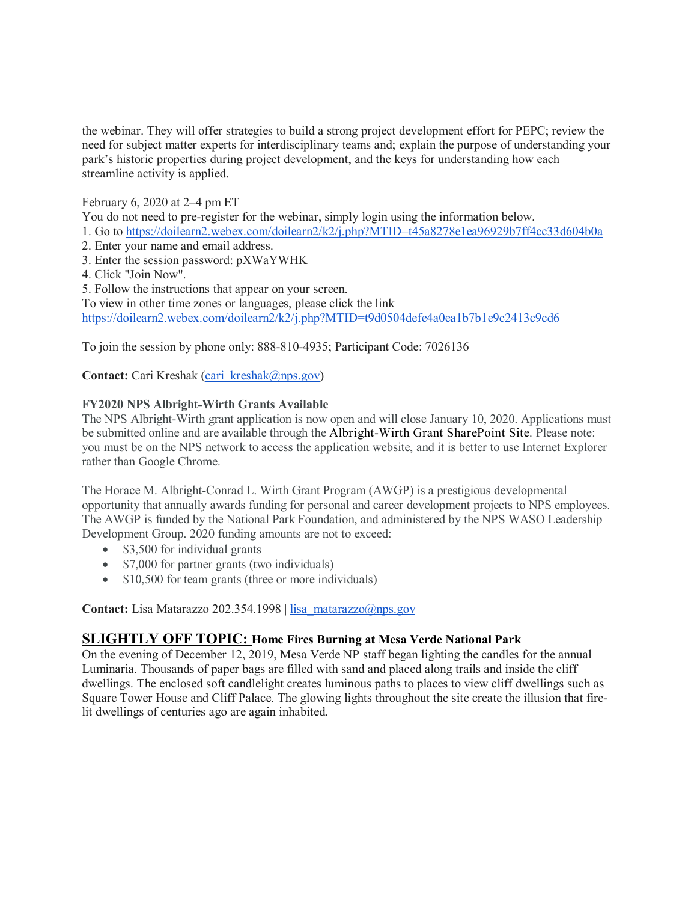the webinar. They will offer strategies to build a strong project development effort for PEPC; review the need for subject matter experts for interdisciplinary teams and; explain the purpose of understanding your park's historic properties during project development, and the keys for understanding how each streamline activity is applied.

# February 6, 2020 at 2–4 pm ET

You do not need to pre-register for the webinar, simply login using the information below.

- 1. Go to <https://doilearn2.webex.com/doilearn2/k2/j.php?MTID=t45a8278e1ea96929b7ff4cc33d604b0a>
- 2. Enter your name and email address.
- 3. Enter the session password: pXWaYWHK
- 4. Click "Join Now".
- 5. Follow the instructions that appear on your screen.

To view in other time zones or languages, please click the link

<https://doilearn2.webex.com/doilearn2/k2/j.php?MTID=t9d0504defe4a0ea1b7b1e9c2413c9cd6>

To join the session by phone only: 888-810-4935; Participant Code: 7026136

**Contact:** Cari Kreshak (cari kreshak@nps.gov)

## **FY2020 NPS Albright-Wirth Grants Available**

The NPS Albright-Wirth grant application is now open and will close January 10, 2020. Applications must be submitted online and are available through the Albright-Wirth Grant SharePoint Site. Please note: you must be on the NPS network to access the application website, and it is better to use Internet Explorer rather than Google Chrome.

The Horace M. Albright-Conrad L. Wirth Grant Program (AWGP) is a prestigious developmental opportunity that annually awards funding for personal and career development projects to NPS employees. The AWGP is funded by the National Park Foundation, and administered by the NPS WASO Leadership Development Group. 2020 funding amounts are not to exceed:

- \$3,500 for individual grants
- \$7,000 for partner grants (two individuals)
- \$10,500 for team grants (three or more individuals)

**Contact:** Lisa Matarazzo 202.354.1998 | [lisa\\_matarazzo@nps.gov](mailto:lisa_matarazzo@nps.gov) 

## **SLIGHTLY OFF TOPIC: Home Fires Burning at Mesa Verde National Park**

On the evening of December 12, 2019, Mesa Verde NP staff began lighting the candles for the annual Luminaria. Thousands of paper bags are filled with sand and placed along trails and inside the cliff dwellings. The enclosed soft candlelight creates luminous paths to places to view cliff dwellings such as Square Tower House and Cliff Palace. The glowing lights throughout the site create the illusion that firelit dwellings of centuries ago are again inhabited.